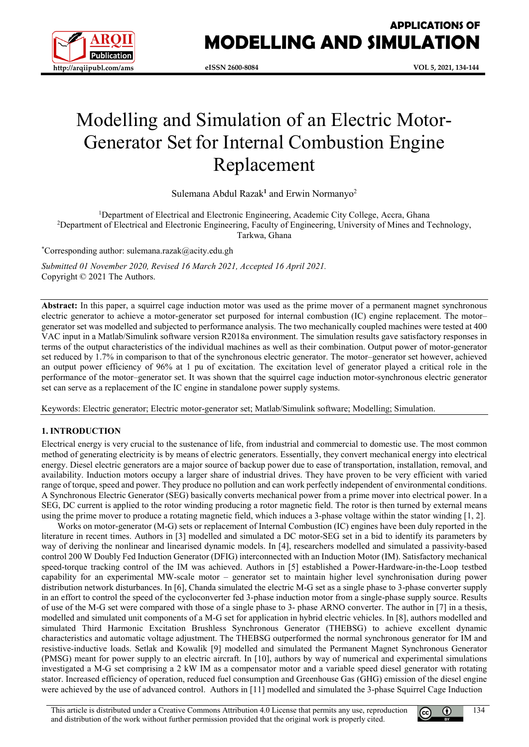

# **APPLICATIONS OF MODELLING AND SIMULATION**

**eISSN 2600-8084 VOL 5, 2021, 134-144**

# Modelling and Simulation of an Electric Motor-Generator Set for Internal Combustion Engine Replacement

Sulemana Abdul Razak**<sup>1</sup>** and Erwin Normanyo2

<sup>1</sup>Department of Electrical and Electronic Engineering, Academic City College, Accra, Ghana 2 Department of Electrical and Electronic Engineering, Faculty of Engineering, University of Mines and Technology, Tarkwa, Ghana

\* Corresponding author: sulemana.razak@acity.edu.gh

*Submitted 01 November 2020, Revised 16 March 2021, Accepted 16 April 2021.* Copyright © 2021 The Authors.

**Abstract:** In this paper, a squirrel cage induction motor was used as the prime mover of a permanent magnet synchronous electric generator to achieve a motor-generator set purposed for internal combustion (IC) engine replacement. The motor– generator set was modelled and subjected to performance analysis. The two mechanically coupled machines were tested at 400 VAC input in a Matlab/Simulink software version R2018a environment. The simulation results gave satisfactory responses in terms of the output characteristics of the individual machines as well as their combination. Output power of motor-generator set reduced by 1.7% in comparison to that of the synchronous electric generator. The motor–generator set however, achieved an output power efficiency of 96% at 1 pu of excitation. The excitation level of generator played a critical role in the performance of the motor–generator set. It was shown that the squirrel cage induction motor-synchronous electric generator set can serve as a replacement of the IC engine in standalone power supply systems.

Keywords: Electric generator; Electric motor-generator set; Matlab/Simulink software; Modelling; Simulation.

# **1. INTRODUCTION**

Electrical energy is very crucial to the sustenance of life, from industrial and commercial to domestic use. The most common method of generating electricity is by means of electric generators. Essentially, they convert mechanical energy into electrical energy. Diesel electric generators are a major source of backup power due to ease of transportation, installation, removal, and availability. Induction motors occupy a larger share of industrial drives. They have proven to be very efficient with varied range of torque, speed and power. They produce no pollution and can work perfectly independent of environmental conditions. A Synchronous Electric Generator (SEG) basically converts mechanical power from a prime mover into electrical power. In a SEG, DC current is applied to the rotor winding producing a rotor magnetic field. The rotor is then turned by external means using the prime mover to produce a rotating magnetic field, which induces a 3-phase voltage within the stator winding [1, 2].

Works on motor-generator (M-G) sets or replacement of Internal Combustion (IC) engines have been duly reported in the literature in recent times. Authors in [3] modelled and simulated a DC motor-SEG set in a bid to identify its parameters by way of deriving the nonlinear and linearised dynamic models. In [4], researchers modelled and simulated a passivity-based control 200 W Doubly Fed Induction Generator (DFIG) interconnected with an Induction Motor (IM). Satisfactory mechanical speed-torque tracking control of the IM was achieved. Authors in [5] established a Power-Hardware-in-the-Loop testbed capability for an experimental MW-scale motor – generator set to maintain higher level synchronisation during power distribution network disturbances. In [6], Chanda simulated the electric M-G set as a single phase to 3-phase converter supply in an effort to control the speed of the cycloconverter fed 3-phase induction motor from a single-phase supply source. Results of use of the M-G set were compared with those of a single phase to 3- phase ARNO converter. The author in [7] in a thesis, modelled and simulated unit components of a M-G set for application in hybrid electric vehicles. In [8], authors modelled and simulated Third Harmonic Excitation Brushless Synchronous Generator (THEBSG) to achieve excellent dynamic characteristics and automatic voltage adjustment. The THEBSG outperformed the normal synchronous generator for IM and resistive-inductive loads. Setlak and Kowalik [9] modelled and simulated the Permanent Magnet Synchronous Generator (PMSG) meant for power supply to an electric aircraft. In [10], authors by way of numerical and experimental simulations investigated a M-G set comprising a 2 kW IM as a compensator motor and a variable speed diesel generator with rotating stator. Increased efficiency of operation, reduced fuel consumption and Greenhouse Gas (GHG) emission of the diesel engine were achieved by the use of advanced control. Authors in [11] modelled and simulated the 3-phase Squirrel Cage Induction



134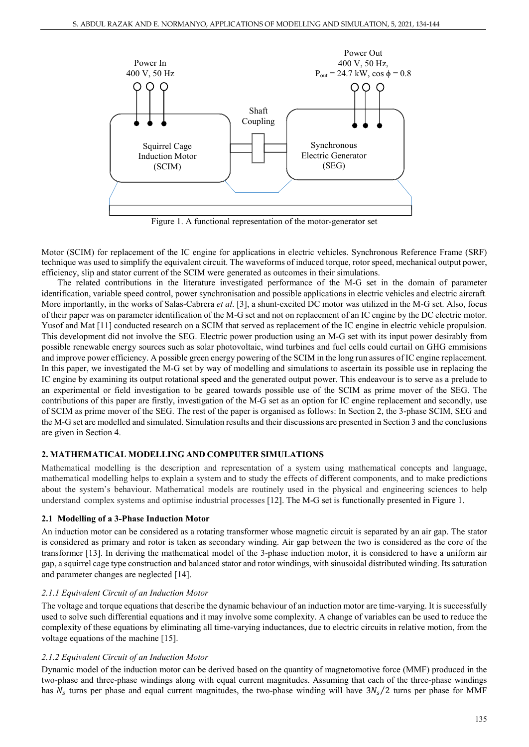

Figure 1. A functional representation of the motor-generator set

Motor (SCIM) for replacement of the IC engine for applications in electric vehicles. Synchronous Reference Frame (SRF) technique was used to simplify the equivalent circuit. The waveforms of induced torque, rotor speed, mechanical output power, efficiency, slip and stator current of the SCIM were generated as outcomes in their simulations.

The related contributions in the literature investigated performance of the M-G set in the domain of parameter identification, variable speed control, power synchronisation and possible applications in electric vehicles and electric aircraft. More importantly, in the works of Salas-Cabrera *et al*. [3], a shunt-excited DC motor was utilized in the M-G set. Also, focus of their paper was on parameter identification of the M-G set and not on replacement of an IC engine by the DC electric motor. Yusof and Mat [11] conducted research on a SCIM that served as replacement of the IC engine in electric vehicle propulsion. This development did not involve the SEG. Electric power production using an M-G set with its input power desirably from possible renewable energy sources such as solar photovoltaic, wind turbines and fuel cells could curtail on GHG emmisions and improve power efficiency. A possible green energy powering of the SCIM in the long run assures of IC engine replacement. In this paper, we investigated the M-G set by way of modelling and simulations to ascertain its possible use in replacing the IC engine by examining its output rotational speed and the generated output power. This endeavour is to serve as a prelude to an experimental or field investigation to be geared towards possible use of the SCIM as prime mover of the SEG. The contributions of this paper are firstly, investigation of the M-G set as an option for IC engine replacement and secondly, use of SCIM as prime mover of the SEG. The rest of the paper is organised as follows: In Section 2, the 3-phase SCIM, SEG and the M-G set are modelled and simulated. Simulation results and their discussions are presented in Section 3 and the conclusions are given in Section 4.

# **2. MATHEMATICAL MODELLING AND COMPUTER SIMULATIONS**

Mathematical modelling is the description and representation of a system using mathematical concepts and language, mathematical modelling helps to explain a system and to study the effects of different components, and to make predictions about the system's behaviour. Mathematical models are routinely used in the physical and engineering sciences to help understand complex systems and optimise industrial processes [12]. The M-G set is functionally presented in Figure 1.

### **2.1 Modelling of a 3-Phase Induction Motor**

An induction motor can be considered as a rotating transformer whose magnetic circuit is separated by an air gap. The stator is considered as primary and rotor is taken as secondary winding. Air gap between the two is considered as the core of the transformer [13]. In deriving the mathematical model of the 3-phase induction motor, it is considered to have a uniform air gap, a squirrel cage type construction and balanced stator and rotor windings, with sinusoidal distributed winding. Its saturation and parameter changes are neglected [14].

# *2.1.1 Equivalent Circuit of an Induction Motor*

The voltage and torque equations that describe the dynamic behaviour of an induction motor are time-varying. It is successfully used to solve such differential equations and it may involve some complexity. A change of variables can be used to reduce the complexity of these equations by eliminating all time-varying inductances, due to electric circuits in relative motion, from the voltage equations of the machine [15].

# *2.1.2 Equivalent Circuit of an Induction Motor*

Dynamic model of the induction motor can be derived based on the quantity of magnetomotive force (MMF) produced in the two-phase and three-phase windings along with equal current magnitudes. Assuming that each of the three-phase windings has  $N_s$  turns per phase and equal current magnitudes, the two-phase winding will have  $3N_s/2$  turns per phase for MMF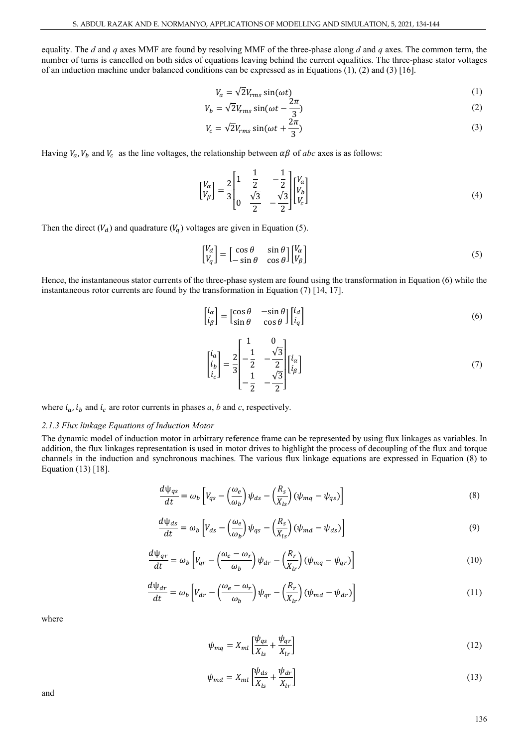equality. The *d* and *q* axes MMF are found by resolving MMF of the three-phase along *d* and *q* axes. The common term, the number of turns is cancelled on both sides of equations leaving behind the current equalities. The three-phase stator voltages of an induction machine under balanced conditions can be expressed as in Equations (1), (2) and (3) [16].

$$
V_a = \sqrt{2}V_{rms}\sin(\omega t) \tag{1}
$$

$$
V_b = \sqrt{2} V_{rms} \sin(\omega t - \frac{2\pi}{3})
$$
\n(2)

$$
V_c = \sqrt{2}V_{rms}\sin(\omega t + \frac{2\pi}{3})
$$
\n(3)

Having  $V_a$ ,  $V_b$  and  $V_c$  as the line voltages, the relationship between  $\alpha\beta$  of *abc* axes is as follows:

$$
\begin{bmatrix} V_{\alpha} \\ V_{\beta} \end{bmatrix} = \frac{2}{3} \begin{bmatrix} 1 & \frac{1}{2} & -\frac{1}{2} \\ 0 & \frac{\sqrt{3}}{2} & -\frac{\sqrt{3}}{2} \end{bmatrix} \begin{bmatrix} V_{a} \\ V_{b} \\ V_{c} \end{bmatrix}
$$
(4)

Then the direct  $(V_d)$  and quadrature  $(V_q)$  voltages are given in Equation (5).

$$
\begin{bmatrix} V_d \\ V_q \end{bmatrix} = \begin{bmatrix} \cos \theta & \sin \theta \\ -\sin \theta & \cos \theta \end{bmatrix} \begin{bmatrix} V_\alpha \\ V_\beta \end{bmatrix} \tag{5}
$$

Hence, the instantaneous stator currents of the three-phase system are found using the transformation in Equation (6) while the instantaneous rotor currents are found by the transformation in Equation (7) [14, 17].

$$
\begin{bmatrix} i_{\alpha} \\ i_{\beta} \end{bmatrix} = \begin{bmatrix} \cos \theta & -\sin \theta \\ \sin \theta & \cos \theta \end{bmatrix} \begin{bmatrix} i_{d} \\ i_{q} \end{bmatrix}
$$
 (6)

$$
\begin{bmatrix} i_a \\ i_b \\ i_c \end{bmatrix} = \frac{2}{3} \begin{bmatrix} 1 & 0 \\ -\frac{1}{2} & -\frac{\sqrt{3}}{2} \\ -\frac{1}{2} & -\frac{\sqrt{3}}{2} \end{bmatrix} \begin{bmatrix} i_a \\ i_b \end{bmatrix}
$$
(7)

where  $i_a$ ,  $i_b$  and  $i_c$  are rotor currents in phases *a*, *b* and *c*, respectively.

#### *2.1.3 Flux linkage Equations of Induction Motor*

The dynamic model of induction motor in arbitrary reference frame can be represented by using flux linkages as variables. In addition, the flux linkages representation is used in motor drives to highlight the process of decoupling of the flux and torque channels in the induction and synchronous machines. The various flux linkage equations are expressed in Equation (8) to Equation (13) [18].

$$
\frac{d\psi_{qs}}{dt} = \omega_b \left[ V_{qs} - \left(\frac{\omega_e}{\omega_b}\right) \psi_{ds} - \left(\frac{R_s}{X_{ls}}\right) (\psi_{mq} - \psi_{qs}) \right]
$$
\n(8)

$$
\frac{d\psi_{ds}}{dt} = \omega_b \left[ V_{ds} - \left( \frac{\omega_e}{\omega_b} \right) \psi_{qs} - \left( \frac{R_s}{X_{ls}} \right) (\psi_{md} - \psi_{ds}) \right]
$$
\n(9)

$$
\frac{d\psi_{qr}}{dt} = \omega_b \left[ V_{qr} - \left( \frac{\omega_e - \omega_r}{\omega_b} \right) \psi_{dr} - \left( \frac{R_r}{X_{lr}} \right) (\psi_{mq} - \psi_{qr}) \right]
$$
\n(10)

$$
\frac{d\psi_{dr}}{dt} = \omega_b \left[ V_{dr} - \left( \frac{\omega_e - \omega_r}{\omega_b} \right) \psi_{qr} - \left( \frac{R_r}{X_{lr}} \right) (\psi_{md} - \psi_{dr}) \right]
$$
\n(11)

where

$$
\psi_{mq} = X_{ml} \left[ \frac{\psi_{qs}}{X_{ls}} + \frac{\psi_{qr}}{X_{lr}} \right]
$$
\n(12)

$$
\psi_{md} = X_{ml} \left[ \frac{\psi_{ds}}{X_{ls}} + \frac{\psi_{dr}}{X_{lr}} \right]
$$
\n(13)

and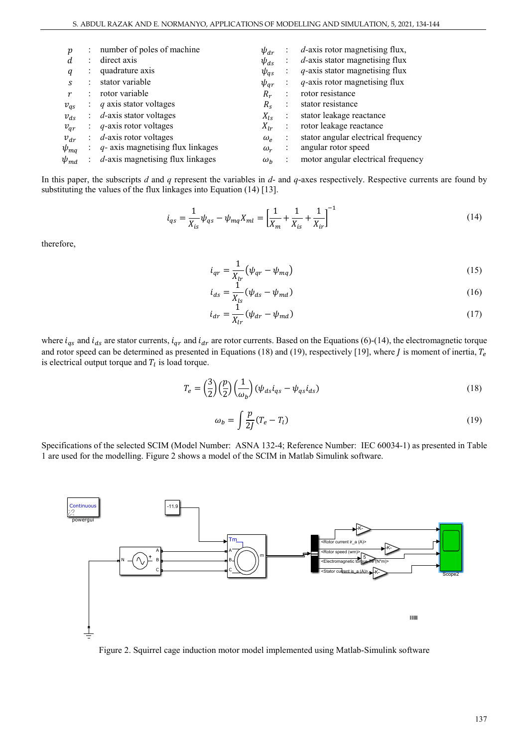|             | number of poles of machine           | $\psi_{dr}$     |                | $d$ -axis rotor magnetising flux,   |
|-------------|--------------------------------------|-----------------|----------------|-------------------------------------|
| d           | direct axis                          | $\psi_{ds}$     | ÷              | $d$ -axis stator magnetising flux   |
|             | quadrature axis                      | $\psi_{qs}$     |                | $q$ -axis stator magnetising flux   |
|             | stator variable                      | $\psi_{ar}$     | ÷              | $q$ -axis rotor magnetising flux    |
|             | rotor variable                       | $R_r$           |                | rotor resistance                    |
| $v_{qs}$    | q axis stator voltages               | $R_{\rm c}$     |                | stator resistance                   |
| $v_{ds}$    | $d$ -axis stator voltages            | $X_{ls}$        | $\ddot{\cdot}$ | stator leakage reactance            |
| $v_{ar}$    | $q$ -axis rotor voltages             | $X_{lr}$        | ÷              | rotor leakage reactance             |
| $v_{dr}$    | $d$ -axis rotor voltages             | $\omega_{\rho}$ |                | stator angular electrical frequency |
| $\psi_{mq}$ | $q$ - axis magnetising flux linkages | $\omega_r$      | ÷              | angular rotor speed                 |
| $\psi_{md}$ | $d$ -axis magnetising flux linkages  | $\omega_h$      |                | motor angular electrical frequency  |
|             |                                      |                 |                |                                     |

In this paper, the subscripts *d* and *q* represent the variables in *d*- and *q*-axes respectively. Respective currents are found by substituting the values of the flux linkages into Equation (14) [13].

$$
i_{qs} = \frac{1}{X_{is}} \psi_{qs} - \psi_{mq} X_{ml} = \left[ \frac{1}{X_m} + \frac{1}{X_{is}} + \frac{1}{X_{ir}} \right]^{-1}
$$
(14)

therefore,

$$
i_{qr} = \frac{1}{X_{lr}} \left( \psi_{qr} - \psi_{mq} \right) \tag{15}
$$

$$
i_{ds} = \frac{1}{X_{ls}} (\psi_{ds} - \psi_{md})
$$
\n(16)

$$
i_{dr} = \frac{1}{X_{lr}} (\psi_{dr} - \psi_{md})
$$
\n(17)

where  $i_{qs}$  and  $i_{ds}$  are stator currents,  $i_{qr}$  and  $i_{dr}$  are rotor currents. Based on the Equations (6)-(14), the electromagnetic torque and rotor speed can be determined as presented in Equations (18) and (19), respectively [19], where *J* is moment of inertia,  $T_e$ is electrical output torque and  $T_l$  is load torque.

$$
T_e = \left(\frac{3}{2}\right)\left(\frac{p}{2}\right)\left(\frac{1}{\omega_b}\right)\left(\psi_{ds}i_{qs} - \psi_{qs}i_{ds}\right) \tag{18}
$$

$$
\omega_b = \int \frac{p}{2J} (T_e - T_l) \tag{19}
$$

Specifications of the selected SCIM (Model Number: ASNA 132-4; Reference Number: IEC 60034-1) as presented in Table 1 are used for the modelling. Figure 2 shows a model of the SCIM in Matlab Simulink software.



Figure 2. Squirrel cage induction motor model implemented using Matlab-Simulink software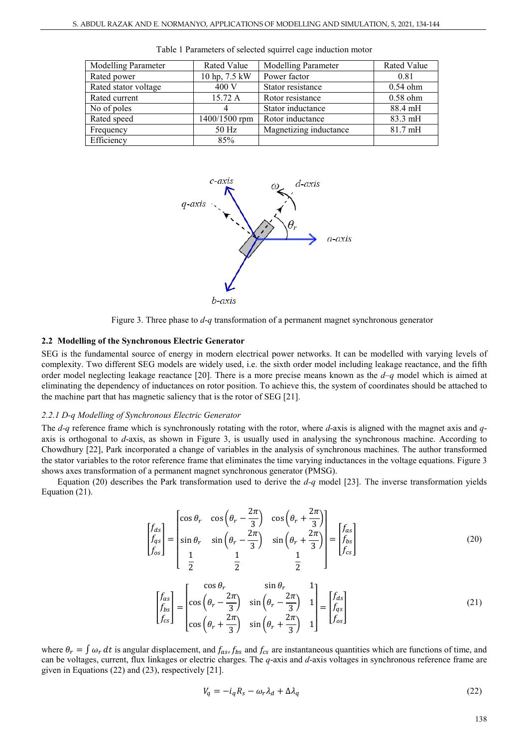| Modelling Parameter  | Rated Value   | <b>Modelling Parameter</b> | Rated Value       |
|----------------------|---------------|----------------------------|-------------------|
| Rated power          | 10 hp, 7.5 kW | Power factor               | 0.81              |
| Rated stator voltage | 400 V         | Stator resistance          | $0.54$ ohm        |
| Rated current        | 15.72 A       | Rotor resistance           | $0.58$ ohm        |
| No of poles          |               | Stator inductance          | 88.4 mH           |
| Rated speed          | 1400/1500 rpm | Rotor inductance           | 83.3 mH           |
| Frequency            | 50 Hz         | Magnetizing inductance     | $81.7 \text{ mH}$ |
| Efficiency           | 85%           |                            |                   |

Table 1 Parameters of selected squirrel cage induction motor



Figure 3. Three phase to *d*-*q* transformation of a permanent magnet synchronous generator

#### **2.2 Modelling of the Synchronous Electric Generator**

SEG is the fundamental source of energy in modern electrical power networks. It can be modelled with varying levels of complexity. Two different SEG models are widely used, i.e. the sixth order model including leakage reactance, and the fifth order model neglecting leakage reactance [20]. There is a more precise means known as the *d*–*q* model which is aimed at eliminating the dependency of inductances on rotor position. To achieve this, the system of coordinates should be attached to the machine part that has magnetic saliency that is the rotor of SEG [21].

#### *2.2.1 D-q Modelling of Synchronous Electric Generator*

The *d-q* reference frame which is synchronously rotating with the rotor, where *d*-axis is aligned with the magnet axis and *q*axis is orthogonal to *d*-axis, as shown in Figure 3, is usually used in analysing the synchronous machine. According to Chowdhury [22], Park incorporated a change of variables in the analysis of synchronous machines. The author transformed the stator variables to the rotor reference frame that eliminates the time varying inductances in the voltage equations. Figure 3 shows axes transformation of a permanent magnet synchronous generator (PMSG).

Equation (20) describes the Park transformation used to derive the *d-q* model [23]. The inverse transformation yields Equation (21).

$$
\begin{bmatrix} f_{ds} \\ f_{qs} \\ f_{os} \end{bmatrix} = \begin{bmatrix} \cos \theta_r & \cos \left( \theta_r - \frac{2\pi}{3} \right) & \cos \left( \theta_r + \frac{2\pi}{3} \right) \\ \sin \theta_r & \sin \left( \theta_r - \frac{2\pi}{3} \right) & \sin \left( \theta_r + \frac{2\pi}{3} \right) \\ \frac{1}{2} & \frac{1}{2} & \frac{1}{2} \end{bmatrix} = \begin{bmatrix} f_{as} \\ f_{bs} \\ f_{cs} \end{bmatrix}
$$
\n
$$
\begin{bmatrix} \cos \theta_r & \sin \theta_r & 1 \end{bmatrix}
$$
\n(20)

$$
\begin{bmatrix} f_{as} \\ f_{bs} \\ f_{cs} \end{bmatrix} = \begin{bmatrix} \cos \theta_r & \sin \theta_r & 1 \\ \cos \left( \theta_r - \frac{2\pi}{3} \right) & \sin \left( \theta_r - \frac{2\pi}{3} \right) & 1 \\ \cos \left( \theta_r + \frac{2\pi}{3} \right) & \sin \left( \theta_r + \frac{2\pi}{3} \right) & 1 \end{bmatrix} = \begin{bmatrix} f_{ds} \\ f_{qs} \\ f_{os} \end{bmatrix} \tag{21}
$$

where  $\theta_r = \int \omega_r dt$  is angular displacement, and  $f_{as}$ ,  $f_{bs}$  and  $f_{cs}$  are instantaneous quantities which are functions of time, and can be voltages, current, flux linkages or electric charges. The *q*-axis and *d*-axis voltages in synchronous reference frame are given in Equations (22) and (23), respectively [21].

$$
V_q = -i_q R_s - \omega_r \lambda_d + \Delta \lambda_q \tag{22}
$$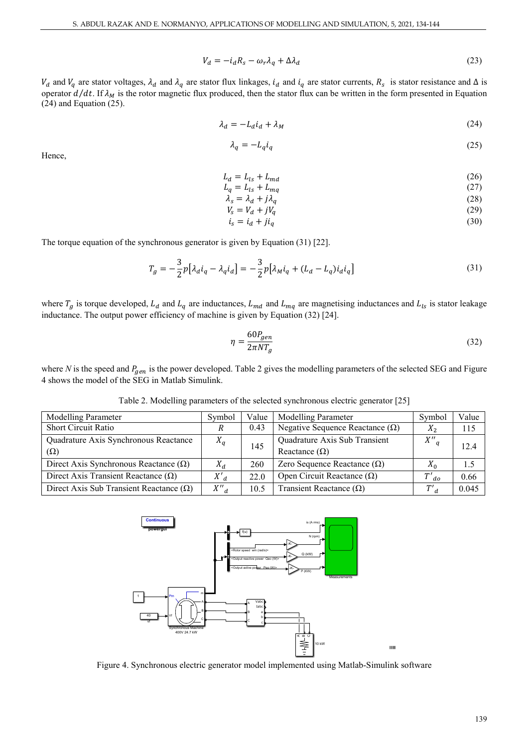$$
V_d = -i_d R_s - \omega_r \lambda_q + \Delta \lambda_d \tag{23}
$$

 $V_d$  and  $V_q$  are stator voltages,  $\lambda_d$  and  $\lambda_q$  are stator flux linkages,  $i_d$  and  $i_q$  are stator currents,  $R_s$  is stator resistance and  $\Delta$  is operator  $d/dt$ . If  $\lambda_M$  is the rotor magnetic flux produced, then the stator flux can be written in the form presented in Equation (24) and Equation (25).

$$
\lambda_d = -L_d i_d + \lambda_M \tag{24}
$$

$$
\lambda_q = -L_q i_q \tag{25}
$$

Hence,

$$
L_d = L_{ls} + L_{md} \tag{26}
$$

$$
L_q = L_{ls} + L_{mq} \tag{27}
$$

$$
\lambda_s = \lambda_d + j\lambda_q \tag{28}
$$
\n
$$
V_s = V_d + jV_q \tag{29}
$$

$$
i_s = i_d + ji_q \tag{30}
$$

The torque equation of the synchronous generator is given by Equation (31) [22].

$$
T_g = -\frac{3}{2}p[\lambda_d i_q - \lambda_q i_d] = -\frac{3}{2}p[\lambda_M i_q + (L_d - L_q)i_d i_q]
$$
\n(31)

where  $T_g$  is torque developed,  $L_d$  and  $L_q$  are inductances,  $L_{md}$  and  $L_{mq}$  are magnetising inductances and  $L_{ls}$  is stator leakage inductance. The output power efficiency of machine is given by Equation (32) [24].

$$
\eta = \frac{60P_{gen}}{2\pi NT_g} \tag{32}
$$

where *N* is the speed and  $P_{gen}$  is the power developed. Table 2 gives the modelling parameters of the selected SEG and Figure 4 shows the model of the SEG in Matlab Simulink.

Table 2. Modelling parameters of the selected synchronous electric generator [25]

| Modelling Parameter                            | Symbol  | Value | <b>Modelling Parameter</b>             | Symbol      | Value |
|------------------------------------------------|---------|-------|----------------------------------------|-------------|-------|
| <b>Short Circuit Ratio</b>                     | R       | 0.43  | Negative Sequence Reactance $(\Omega)$ | $X_2$       | 115   |
| Quadrature Axis Synchronous Reactance          | $X_q$   |       | Quadrature Axis Sub Transient          | $X''_q$     | 12.4  |
| $(\Omega)$                                     |         | 145   | Reactance $(\Omega)$                   |             |       |
| Direct Axis Synchronous Reactance $(\Omega)$   | $X_d$   | 260   | Zero Sequence Reactance $(\Omega)$     | $X_0$       | 1.5   |
| Direct Axis Transient Reactance $(\Omega)$     | $X'_d$  | 22.0  | Open Circuit Reactance $(\Omega)$      | $T{'}_{do}$ | 0.66  |
| Direct Axis Sub Transient Reactance $(\Omega)$ | $X''_d$ | 10.5  | Transient Reactance $(\Omega)$         | $T'_d$      | 0.045 |



Figure 4. Synchronous electric generator model implemented using Matlab-Simulink software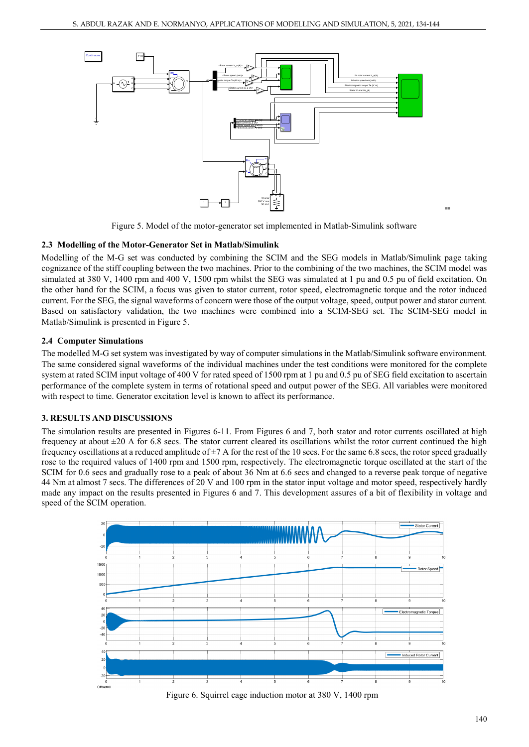

Figure 5. Model of the motor-generator set implemented in Matlab-Simulink software

# **2.3 Modelling of the Motor-Generator Set in Matlab/Simulink**

Modelling of the M-G set was conducted by combining the SCIM and the SEG models in Matlab/Simulink page taking cognizance of the stiff coupling between the two machines. Prior to the combining of the two machines, the SCIM model was simulated at 380 V, 1400 rpm and 400 V, 1500 rpm whilst the SEG was simulated at 1 pu and 0.5 pu of field excitation. On the other hand for the SCIM, a focus was given to stator current, rotor speed, electromagnetic torque and the rotor induced current. For the SEG, the signal waveforms of concern were those of the output voltage, speed, output power and stator current. Based on satisfactory validation, the two machines were combined into a SCIM-SEG set. The SCIM-SEG model in Matlab/Simulink is presented in Figure 5.

# **2.4 Computer Simulations**

The modelled M-G set system was investigated by way of computer simulations in the Matlab/Simulink software environment. The same considered signal waveforms of the individual machines under the test conditions were monitored for the complete system at rated SCIM input voltage of 400 V for rated speed of 1500 rpm at 1 pu and 0.5 pu of SEG field excitation to ascertain performance of the complete system in terms of rotational speed and output power of the SEG. All variables were monitored with respect to time. Generator excitation level is known to affect its performance.

# **3. RESULTS AND DISCUSSIONS**

The simulation results are presented in Figures 6-11. From Figures 6 and 7, both stator and rotor currents oscillated at high frequency at about  $\pm 20$  A for 6.8 secs. The stator current cleared its oscillations whilst the rotor current continued the high frequency oscillations at a reduced amplitude of  $\pm$ 7 A for the rest of the 10 secs. For the same 6.8 secs, the rotor speed gradually rose to the required values of 1400 rpm and 1500 rpm, respectively. The electromagnetic torque oscillated at the start of the SCIM for 0.6 secs and gradually rose to a peak of about 36 Nm at 6.6 secs and changed to a reverse peak torque of negative 44 Nm at almost 7 secs. The differences of 20 V and 100 rpm in the stator input voltage and motor speed, respectively hardly made any impact on the results presented in Figures 6 and 7. This development assures of a bit of flexibility in voltage and speed of the SCIM operation.



Figure 6. Squirrel cage induction motor at 380 V, 1400 rpm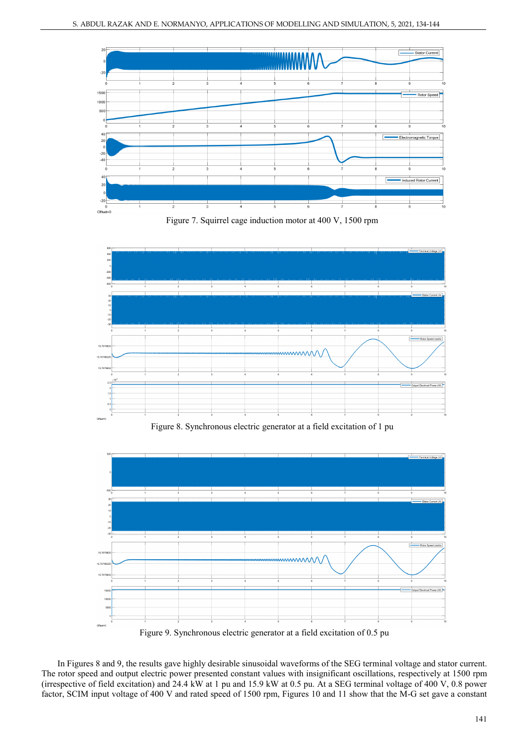





Figure 8. Synchronous electric generator at a field excitation of 1 pu



Figure 9. Synchronous electric generator at a field excitation of 0.5 pu

In Figures 8 and 9, the results gave highly desirable sinusoidal waveforms of the SEG terminal voltage and stator current. The rotor speed and output electric power presented constant values with insignificant oscillations, respectively at 1500 rpm (irrespective of field excitation) and 24.4 kW at 1 pu and 15.9 kW at 0.5 pu. At a SEG terminal voltage of 400 V, 0.8 power factor, SCIM input voltage of 400 V and rated speed of 1500 rpm, Figures 10 and 11 show that the M-G set gave a constant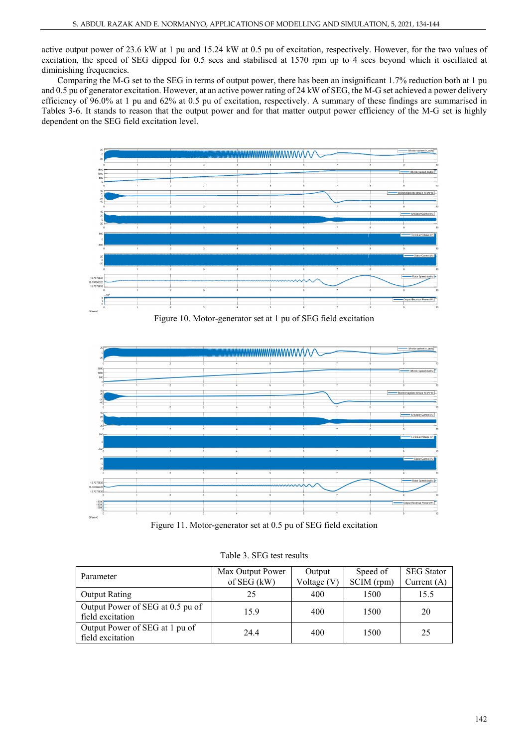active output power of 23.6 kW at 1 pu and 15.24 kW at 0.5 pu of excitation, respectively. However, for the two values of excitation, the speed of SEG dipped for 0.5 secs and stabilised at 1570 rpm up to 4 secs beyond which it oscillated at diminishing frequencies.

Comparing the M-G set to the SEG in terms of output power, there has been an insignificant 1.7% reduction both at 1 pu and 0.5 pu of generator excitation. However, at an active power rating of 24 kW of SEG, the M-G set achieved a power delivery efficiency of 96.0% at 1 pu and 62% at 0.5 pu of excitation, respectively. A summary of these findings are summarised in Tables 3-6. It stands to reason that the output power and for that matter output power efficiency of the M-G set is highly dependent on the SEG field excitation level.



Figure 10. Motor-generator set at 1 pu of SEG field excitation



Figure 11. Motor-generator set at 0.5 pu of SEG field excitation

|  |  | Table 3. SEG test results |
|--|--|---------------------------|
|--|--|---------------------------|

| Parameter                        | Max Output Power | Output        | Speed of   | <b>SEG</b> Stator |  |
|----------------------------------|------------------|---------------|------------|-------------------|--|
|                                  | of SEG (kW)      | Voltage $(V)$ | SCIM (rpm) | Current $(A)$     |  |
| <b>Output Rating</b>             | 25               | 400           | 1500       | 15.5              |  |
| Output Power of SEG at 0.5 pu of | 15.9             | 400           | 1500       | 20                |  |
| field excitation                 |                  |               |            |                   |  |
| Output Power of SEG at 1 pu of   | 24.4             | 400           | 1500       | 25                |  |
| field excitation                 |                  |               |            |                   |  |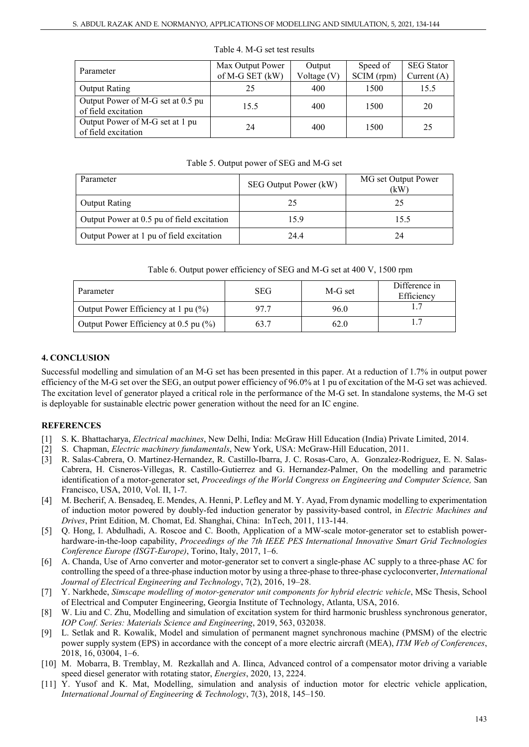| Parameter                                                | Max Output Power<br>of M-G SET (kW) | Output<br>Voltage (V) | Speed of<br>SCIM (rpm) | <b>SEG</b> Stator<br>Current $(A)$ |
|----------------------------------------------------------|-------------------------------------|-----------------------|------------------------|------------------------------------|
| <b>Output Rating</b>                                     | 25                                  | 400                   | 1500                   | 15.5                               |
| Output Power of M-G set at 0.5 pu<br>of field excitation | 15.5                                | 400                   | 1500                   | 20                                 |
| Output Power of M-G set at 1 pu<br>of field excitation   | 24                                  | 400                   | 1500                   | 25                                 |

#### Table 4. M-G set test results

#### Table 5. Output power of SEG and M-G set

| Parameter                                  | SEG Output Power (kW) | MG set Output Power<br>(kW |  |
|--------------------------------------------|-----------------------|----------------------------|--|
| <b>Output Rating</b>                       |                       | 25                         |  |
| Output Power at 0.5 pu of field excitation | 15.9                  | 15.5                       |  |
| Output Power at 1 pu of field excitation   | 24.4                  | 24                         |  |

|  | Table 6. Output power efficiency of SEG and M-G set at 400 V, 1500 rpm |  |  |  |  |
|--|------------------------------------------------------------------------|--|--|--|--|
|--|------------------------------------------------------------------------|--|--|--|--|

| Parameter                             | SEG | M-G set | Difference in<br>Efficiency |
|---------------------------------------|-----|---------|-----------------------------|
| Output Power Efficiency at 1 pu (%)   |     | 96.0    |                             |
| Output Power Efficiency at 0.5 pu (%) |     | 62.0    |                             |

# **4. CONCLUSION**

Successful modelling and simulation of an M-G set has been presented in this paper. At a reduction of 1.7% in output power efficiency of the M-G set over the SEG, an output power efficiency of 96.0% at 1 pu of excitation of the M-G set was achieved. The excitation level of generator played a critical role in the performance of the M-G set. In standalone systems, the M-G set is deployable for sustainable electric power generation without the need for an IC engine.

# **REFERENCES**

- [1] S. K. Bhattacharya, *Electrical machines*, New Delhi, India: McGraw Hill Education (India) Private Limited, 2014.
- [2] S. Chapman, *Electric machinery fundamentals*, New York, USA: McGraw-Hill Education, 2011.
- [3] R. Salas-Cabrera, O. Martinez-Hernandez, R. Castillo-Ibarra, J. C. Rosas-Caro, A. Gonzalez-Rodriguez, E. N. Salas-Cabrera, H. Cisneros-Villegas, R. Castillo-Gutierrez and G. Hernandez-Palmer, On the modelling and parametric identification of a motor-generator set, *Proceedings of the World Congress on Engineering and Computer Science,* San Francisco, USA, 2010, Vol. II, 1-7.
- [4] M. Becherif, A. Bensadeq, E. Mendes, A. Henni, P. Lefley and M. Y. Ayad, From dynamic modelling to experimentation of induction motor powered by doubly-fed induction generator by passivity-based control, in *Electric Machines and Drives*, Print Edition, M. Chomat, Ed. Shanghai, China: InTech, 2011, 113-144.
- [5] Q. Hong, I. Abdulhadi, A. Roscoe and C. Booth, Application of a MW-scale motor-generator set to establish powerhardware-in-the-loop capability, *Proceedings of the 7th IEEE PES International Innovative Smart Grid Technologies Conference Europe (ISGT-Europe)*, Torino, Italy, 2017, 1–6.
- [6] A. Chanda, Use of Arno converter and motor-generator set to convert a single-phase AC supply to a three-phase AC for controlling the speed of a three-phase induction motor by using a three-phase to three-phase cycloconverter, *International Journal of Electrical Engineering and Technology*, 7(2), 2016, 19–28.
- [7] Y. Narkhede, *Simscape modelling of motor-generator unit components for hybrid electric vehicle*, MSc Thesis, School of Electrical and Computer Engineering, Georgia Institute of Technology, Atlanta, USA, 2016.
- [8] W. Liu and C. Zhu, Modelling and simulation of excitation system for third harmonic brushless synchronous generator, *IOP Conf. Series: Materials Science and Engineering*, 2019, 563, 032038.
- [9] L. Setlak and R. Kowalik, Model and simulation of permanent magnet synchronous machine (PMSM) of the electric power supply system (EPS) in accordance with the concept of a more electric aircraft (MEA), *ITM Web of Conferences*, 2018, 16, 03004, 1–6.
- [10] M. Mobarra, B. Tremblay, M. Rezkallah and A. Ilinca, Advanced control of a compensator motor driving a variable speed diesel generator with rotating stator, *Energies*, 2020, 13, 2224.
- [11] Y. Yusof and K. Mat, Modelling, simulation and analysis of induction motor for electric vehicle application, *International Journal of Engineering & Technology*, 7(3), 2018, 145–150.